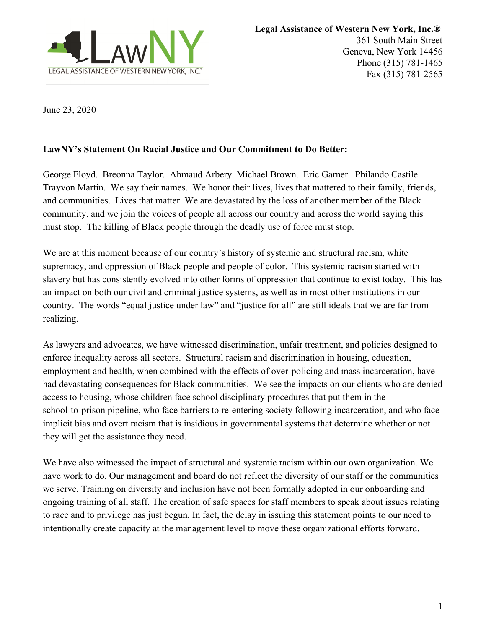

June 23, 2020

## **LawNY's Statement On Racial Justice and Our Commitment to Do Better:**

George Floyd. Breonna Taylor. Ahmaud Arbery. Michael Brown. Eric Garner. Philando Castile. Trayvon Martin. We say their names. We honor their lives, lives that mattered to their family, friends, and communities. Lives that matter. We are devastated by the loss of another member of the Black community, and we join the voices of people all across our country and across the world saying this must stop. The killing of Black people through the deadly use of force must stop.

We are at this moment because of our country's history of systemic and structural racism, white supremacy, and oppression of Black people and people of color. This systemic racism started with slavery but has consistently evolved into other forms of oppression that continue to exist today. This has an impact on both our civil and criminal justice systems, as well as in most other institutions in our country. The words "equal justice under law" and "justice for all" are still ideals that we are far from realizing.

As lawyers and advocates, we have witnessed discrimination, unfair treatment, and policies designed to enforce inequality across all sectors. Structural racism and discrimination in housing, education, employment and health, when combined with the effects of over-policing and mass incarceration, have had devastating consequences for Black communities. We see the impacts on our clients who are denied access to housing, whose children face school disciplinary procedures that put them in the school-to-prison pipeline, who face barriers to re-entering society following incarceration, and who face implicit bias and overt racism that is insidious in governmental systems that determine whether or not they will get the assistance they need.

We have also witnessed the impact of structural and systemic racism within our own organization. We have work to do. Our management and board do not reflect the diversity of our staff or the communities we serve. Training on diversity and inclusion have not been formally adopted in our onboarding and ongoing training of all staff. The creation of safe spaces for staff members to speak about issues relating to race and to privilege has just begun. In fact, the delay in issuing this statement points to our need to intentionally create capacity at the management level to move these organizational efforts forward.